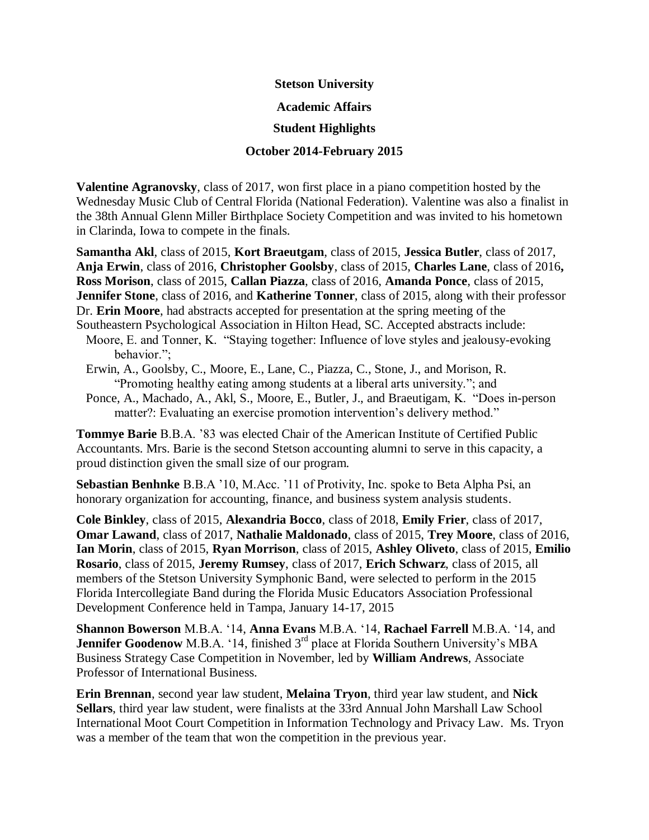**Stetson University**

**Academic Affairs**

## **Student Highlights**

## **October 2014-February 2015**

**Valentine Agranovsky**, class of 2017, won first place in a piano competition hosted by the Wednesday Music Club of Central Florida (National Federation). Valentine was also a finalist in the 38th Annual Glenn Miller Birthplace Society Competition and was invited to his hometown in Clarinda, Iowa to compete in the finals.

**Samantha Akl**, class of 2015, **Kort Braeutgam**, class of 2015, **Jessica Butler**, class of 2017, **Anja Erwin**, class of 2016, **Christopher Goolsby**, class of 2015, **Charles Lane**, class of 2016**, Ross Morison**, class of 2015, **Callan Piazza**, class of 2016, **Amanda Ponce**, class of 2015, **Jennifer Stone**, class of 2016, and **Katherine Tonner**, class of 2015, along with their professor Dr. **Erin Moore**, had abstracts accepted for presentation at the spring meeting of the Southeastern Psychological Association in Hilton Head, SC. Accepted abstracts include:

- Moore, E. and Tonner, K. "Staying together: Influence of love styles and jealousy-evoking behavior.";
- Erwin, A., Goolsby, C., Moore, E., Lane, C., Piazza, C., Stone, J., and Morison, R. "Promoting healthy eating among students at a liberal arts university."; and
- Ponce, A., Machado, A., Akl, S., Moore, E., Butler, J., and Braeutigam, K. "Does in-person matter?: Evaluating an exercise promotion intervention's delivery method."

**Tommye Barie** B.B.A. '83 was elected Chair of the American Institute of Certified Public Accountants. Mrs. Barie is the second Stetson accounting alumni to serve in this capacity, a proud distinction given the small size of our program.

**Sebastian Benhnke** B.B.A '10, M.Acc. '11 of Protivity, Inc. spoke to Beta Alpha Psi, an honorary organization for accounting, finance, and business system analysis students.

**Cole Binkley**, class of 2015, **Alexandria Bocco**, class of 2018, **Emily Frier**, class of 2017, **Omar Lawand**, class of 2017, **Nathalie Maldonado**, class of 2015, **Trey Moore**, class of 2016, **Ian Morin**, class of 2015, **Ryan Morrison**, class of 2015, **Ashley Oliveto**, class of 2015, **Emilio Rosario**, class of 2015, **Jeremy Rumsey**, class of 2017, **Erich Schwarz**, class of 2015, all members of the Stetson University Symphonic Band, were selected to perform in the 2015 Florida Intercollegiate Band during the Florida Music Educators Association Professional Development Conference held in Tampa, January 14-17, 2015

**Shannon Bowerson** M.B.A. '14, **Anna Evans** M.B.A. '14, **Rachael Farrell** M.B.A. '14, and **Jennifer Goodenow** M.B.A. '14, finished 3<sup>rd</sup> place at Florida Southern University's MBA Business Strategy Case Competition in November, led by **William Andrews**, Associate Professor of International Business.

**Erin Brennan**, second year law student, **Melaina Tryon**, third year law student, and **Nick Sellars**, third year law student, were finalists at the 33rd Annual John Marshall Law School International Moot Court Competition in Information Technology and Privacy Law. Ms. Tryon was a member of the team that won the competition in the previous year.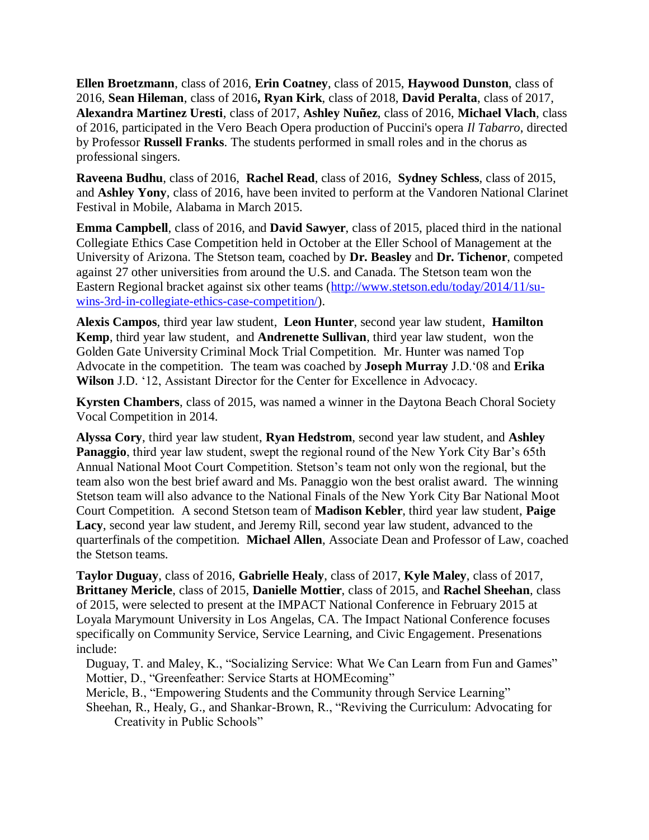**Ellen Broetzmann**, class of 2016, **Erin Coatney**, class of 2015, **Haywood Dunston**, class of 2016, **Sean Hileman**, class of 2016**, Ryan Kirk**, class of 2018, **David Peralta**, class of 2017, **Alexandra Martinez Uresti**, class of 2017, **Ashley Nuñez**, class of 2016, **Michael Vlach**, class of 2016, participated in the Vero Beach Opera production of Puccini's opera *Il Tabarro*, directed by Professor **Russell Franks**. The students performed in small roles and in the chorus as professional singers.

**Raveena Budhu**, class of 2016, **Rachel Read**, class of 2016, **Sydney Schless**, class of 2015, and **Ashley Yony**, class of 2016, have been invited to perform at the Vandoren National Clarinet Festival in Mobile, Alabama in March 2015.

**Emma Campbell**, class of 2016, and **David Sawyer**, class of 2015, placed third in the national Collegiate Ethics Case Competition held in October at the Eller School of Management at the University of Arizona. The Stetson team, coached by **Dr. Beasley** and **Dr. Tichenor**, competed against 27 other universities from around the U.S. and Canada. The Stetson team won the Eastern Regional bracket against six other teams [\(http://www.stetson.edu/today/2014/11/su](http://www.stetson.edu/today/2014/11/su-wins-3rd-in-collegiate-ethics-case-competition/)[wins-3rd-in-collegiate-ethics-case-competition/\)](http://www.stetson.edu/today/2014/11/su-wins-3rd-in-collegiate-ethics-case-competition/).

**Alexis Campos**, third year law student, **Leon Hunter**, second year law student, **Hamilton Kemp**, third year law student, and **Andrenette Sullivan**, third year law student, won the Golden Gate University Criminal Mock Trial Competition. Mr. Hunter was named Top Advocate in the competition. The team was coached by **Joseph Murray** J.D.'08 and **Erika Wilson** J.D. '12, Assistant Director for the Center for Excellence in Advocacy.

**Kyrsten Chambers**, class of 2015, was named a winner in the Daytona Beach Choral Society Vocal Competition in 2014.

**Alyssa Cory**, third year law student, **Ryan Hedstrom**, second year law student, and **Ashley Panaggio**, third year law student, swept the regional round of the New York City Bar's 65th Annual National Moot Court Competition. Stetson's team not only won the regional, but the team also won the best brief award and Ms. Panaggio won the best oralist award. The winning Stetson team will also advance to the National Finals of the New York City Bar National Moot Court Competition. A second Stetson team of **Madison Kebler**, third year law student, **Paige Lacy**, second year law student, and Jeremy Rill, second year law student, advanced to the quarterfinals of the competition. **Michael Allen**, Associate Dean and Professor of Law, coached the Stetson teams.

**Taylor Duguay**, class of 2016, **Gabrielle Healy**, class of 2017, **Kyle Maley**, class of 2017, **Brittaney Mericle**, class of 2015, **Danielle Mottier**, class of 2015, and **Rachel Sheehan**, class of 2015, were selected to present at the IMPACT National Conference in February 2015 at Loyala Marymount University in Los Angelas, CA. The Impact National Conference focuses specifically on Community Service, Service Learning, and Civic Engagement. Presenations include:

Duguay, T. and Maley, K., "Socializing Service: What We Can Learn from Fun and Games" Mottier, D., "Greenfeather: Service Starts at HOMEcoming"

Mericle, B., "Empowering Students and the Community through Service Learning"

Sheehan, R., Healy, G., and Shankar-Brown, R., "Reviving the Curriculum: Advocating for Creativity in Public Schools"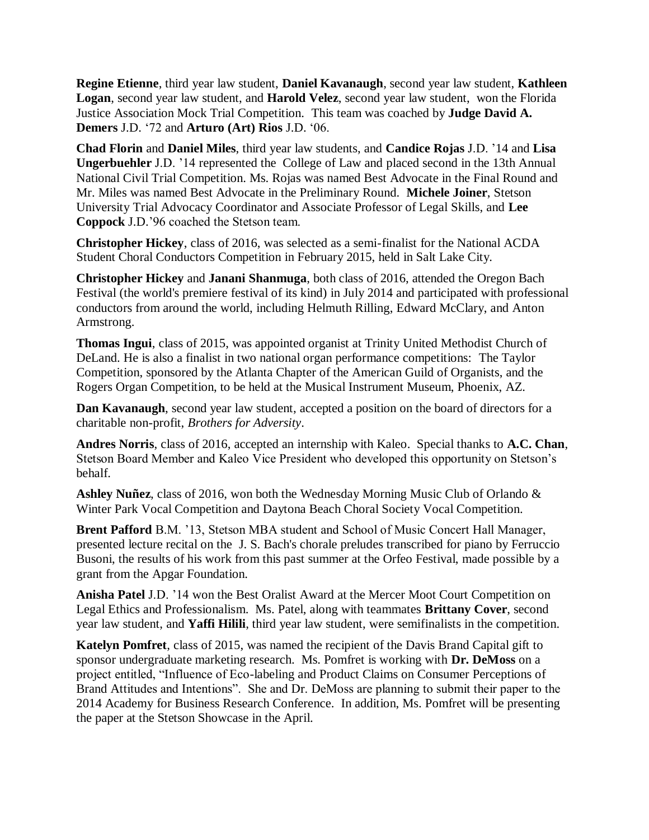**Regine Etienne**, third year law student, **Daniel Kavanaugh**, second year law student, **Kathleen Logan**, second year law student, and **Harold Velez**, second year law student, won the Florida Justice Association Mock Trial Competition. This team was coached by **Judge David A. Demers** J.D. '72 and **Arturo (Art) Rios** J.D. '06.

**Chad Florin** and **Daniel Miles**, third year law students, and **Candice Rojas** J.D. '14 and **Lisa Ungerbuehler** J.D. '14 represented the College of Law and placed second in the 13th Annual National Civil Trial Competition. Ms. Rojas was named Best Advocate in the Final Round and Mr. Miles was named Best Advocate in the Preliminary Round. **Michele Joiner**, Stetson University Trial Advocacy Coordinator and Associate Professor of Legal Skills, and **Lee Coppock** J.D.'96 coached the Stetson team.

**Christopher Hickey**, class of 2016, was selected as a semi-finalist for the National ACDA Student Choral Conductors Competition in February 2015, held in Salt Lake City.

**Christopher Hickey** and **Janani Shanmuga**, both class of 2016, attended the Oregon Bach Festival (the world's premiere festival of its kind) in July 2014 and participated with professional conductors from around the world, including Helmuth Rilling, Edward McClary, and Anton Armstrong.

**Thomas Ingui**, class of 2015, was appointed organist at Trinity United Methodist Church of DeLand. He is also a finalist in two national organ performance competitions: The Taylor Competition, sponsored by the Atlanta Chapter of the American Guild of Organists, and the Rogers Organ Competition, to be held at the Musical Instrument Museum, Phoenix, AZ.

**Dan Kavanaugh**, second year law student, accepted a position on the board of directors for a charitable non-profit, *Brothers for Adversity*.

**Andres Norris**, class of 2016, accepted an internship with Kaleo. Special thanks to **A.C. Chan**, Stetson Board Member and Kaleo Vice President who developed this opportunity on Stetson's behalf.

**Ashley Nuñez**, class of 2016, won both the Wednesday Morning Music Club of Orlando & Winter Park Vocal Competition and Daytona Beach Choral Society Vocal Competition.

**Brent Pafford** B.M. '13, Stetson MBA student and School of Music Concert Hall Manager, presented lecture recital on the J. S. Bach's chorale preludes transcribed for piano by Ferruccio Busoni, the results of his work from this past summer at the Orfeo Festival, made possible by a grant from the Apgar Foundation.

**Anisha Patel** J.D. '14 won the Best Oralist Award at the Mercer Moot Court Competition on Legal Ethics and Professionalism. Ms. Patel, along with teammates **Brittany Cover**, second year law student, and **Yaffi Hilili**, third year law student, were semifinalists in the competition.

**Katelyn Pomfret**, class of 2015, was named the recipient of the Davis Brand Capital gift to sponsor undergraduate marketing research. Ms. Pomfret is working with **Dr. DeMoss** on a project entitled, "Influence of Eco-labeling and Product Claims on Consumer Perceptions of Brand Attitudes and Intentions". She and Dr. DeMoss are planning to submit their paper to the 2014 Academy for Business Research Conference. In addition, Ms. Pomfret will be presenting the paper at the Stetson Showcase in the April.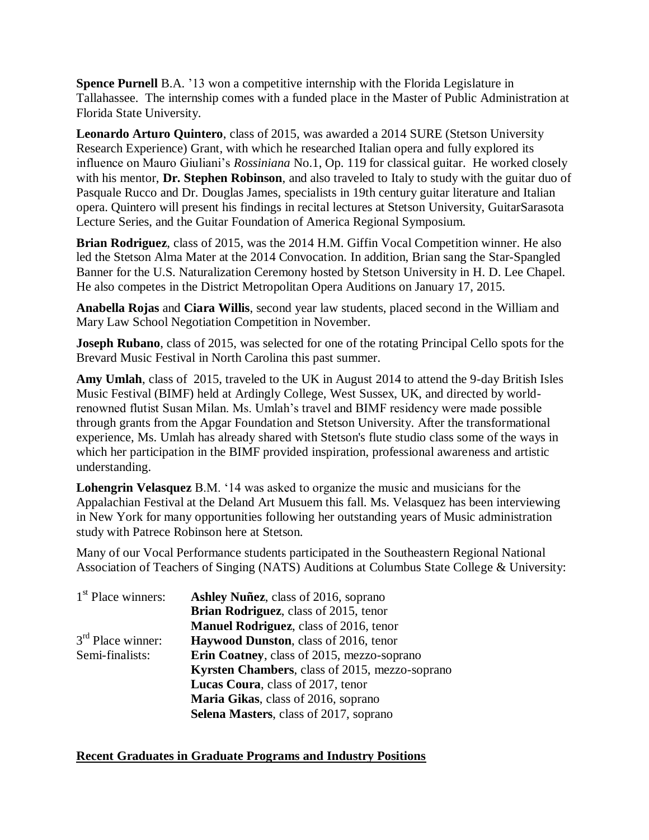**Spence Purnell** B.A. '13 won a competitive internship with the Florida Legislature in Tallahassee. The internship comes with a funded place in the Master of Public Administration at Florida State University.

**Leonardo Arturo Quintero**, class of 2015, was awarded a 2014 SURE (Stetson University Research Experience) Grant, with which he researched Italian opera and fully explored its influence on Mauro Giuliani's *Rossiniana* No.1, Op. 119 for classical guitar. He worked closely with his mentor, **Dr. Stephen Robinson**, and also traveled to Italy to study with the guitar duo of Pasquale Rucco and Dr. Douglas James, specialists in 19th century guitar literature and Italian opera. Quintero will present his findings in recital lectures at Stetson University, GuitarSarasota Lecture Series, and the Guitar Foundation of America Regional Symposium.

**Brian Rodriguez**, class of 2015, was the 2014 H.M. Giffin Vocal Competition winner. He also led the Stetson Alma Mater at the 2014 Convocation. In addition, Brian sang the Star-Spangled Banner for the U.S. Naturalization Ceremony hosted by Stetson University in H. D. Lee Chapel. He also competes in the District Metropolitan Opera Auditions on January 17, 2015.

**Anabella Rojas** and **Ciara Willis**, second year law students, placed second in the William and Mary Law School Negotiation Competition in November.

**Joseph Rubano**, class of 2015, was selected for one of the rotating Principal Cello spots for the Brevard Music Festival in North Carolina this past summer.

**Amy Umlah**, class of 2015, traveled to the UK in August 2014 to attend the 9-day British Isles Music Festival (BIMF) held at Ardingly College, West Sussex, UK, and directed by worldrenowned flutist Susan Milan. Ms. Umlah's travel and BIMF residency were made possible through grants from the Apgar Foundation and Stetson University. After the transformational experience, Ms. Umlah has already shared with Stetson's flute studio class some of the ways in which her participation in the BIMF provided inspiration, professional awareness and artistic understanding.

**Lohengrin Velasquez** B.M. '14 was asked to organize the music and musicians for the Appalachian Festival at the Deland Art Musuem this fall. Ms. Velasquez has been interviewing in New York for many opportunities following her outstanding years of Music administration study with Patrece Robinson here at Stetson.

Many of our Vocal Performance students participated in the Southeastern Regional National Association of Teachers of Singing (NATS) Auditions at Columbus State College & University:

| $1st$ Place winners: | <b>Ashley Nuñez, class of 2016, soprano</b>           |
|----------------------|-------------------------------------------------------|
|                      | <b>Brian Rodriguez</b> , class of 2015, tenor         |
|                      | <b>Manuel Rodriguez</b> , class of 2016, tenor        |
| $3rd$ Place winner:  | <b>Haywood Dunston, class of 2016, tenor</b>          |
| Semi-finalists:      | <b>Erin Coatney, class of 2015, mezzo-soprano</b>     |
|                      | <b>Kyrsten Chambers, class of 2015, mezzo-soprano</b> |
|                      | Lucas Coura, class of 2017, tenor                     |
|                      | Maria Gikas, class of 2016, soprano                   |
|                      | <b>Selena Masters, class of 2017, soprano</b>         |

## **Recent Graduates in Graduate Programs and Industry Positions**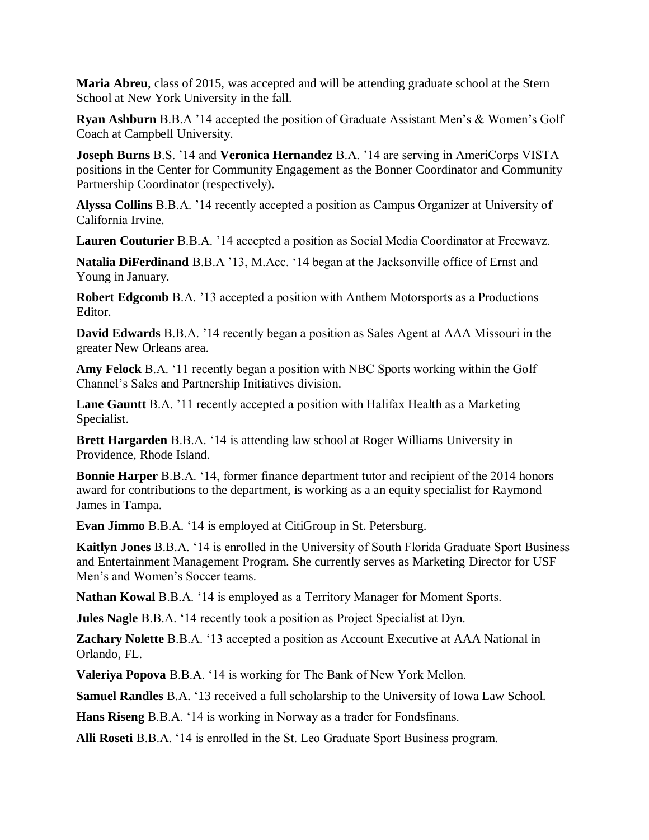**Maria Abreu**, class of 2015, was accepted and will be attending graduate school at the Stern School at New York University in the fall.

**Ryan Ashburn** B.B.A '14 accepted the position of Graduate Assistant Men's & Women's Golf Coach at Campbell University.

**Joseph Burns** B.S. '14 and **Veronica Hernandez** B.A. '14 are serving in AmeriCorps VISTA positions in the Center for Community Engagement as the Bonner Coordinator and Community Partnership Coordinator (respectively).

**Alyssa Collins** B.B.A. '14 recently accepted a position as Campus Organizer at University of California Irvine.

**Lauren Couturier** B.B.A. '14 accepted a position as Social Media Coordinator at Freewavz.

**Natalia DiFerdinand** B.B.A '13, M.Acc. '14 began at the Jacksonville office of Ernst and Young in January.

**Robert Edgcomb** B.A. '13 accepted a position with Anthem Motorsports as a Productions Editor.

**David Edwards** B.B.A. '14 recently began a position as Sales Agent at AAA Missouri in the greater New Orleans area.

**Amy Felock** B.A. '11 recently began a position with NBC Sports working within the Golf Channel's Sales and Partnership Initiatives division.

**Lane Gauntt** B.A. '11 recently accepted a position with Halifax Health as a Marketing Specialist.

**Brett Hargarden** B.B.A. '14 is attending law school at Roger Williams University in Providence, Rhode Island.

**Bonnie Harper** B.B.A. '14, former finance department tutor and recipient of the 2014 honors award for contributions to the department, is working as a an equity specialist for Raymond James in Tampa.

**Evan Jimmo** B.B.A. '14 is employed at CitiGroup in St. Petersburg.

**Kaitlyn Jones** B.B.A. '14 is enrolled in the University of South Florida Graduate Sport Business and Entertainment Management Program. She currently serves as Marketing Director for USF Men's and Women's Soccer teams.

**Nathan Kowal** B.B.A. '14 is employed as a Territory Manager for Moment Sports.

**Jules Nagle** B.B.A. '14 recently took a position as Project Specialist at Dyn.

**Zachary Nolette** B.B.A. '13 accepted a position as Account Executive at AAA National in Orlando, FL.

**Valeriya Popova** B.B.A. '14 is working for The Bank of New York Mellon.

**Samuel Randles** B.A. '13 received a full scholarship to the University of Iowa Law School.

**Hans Riseng** B.B.A. '14 is working in Norway as a trader for Fondsfinans.

**Alli Roseti** B.B.A. '14 is enrolled in the St. Leo Graduate Sport Business program.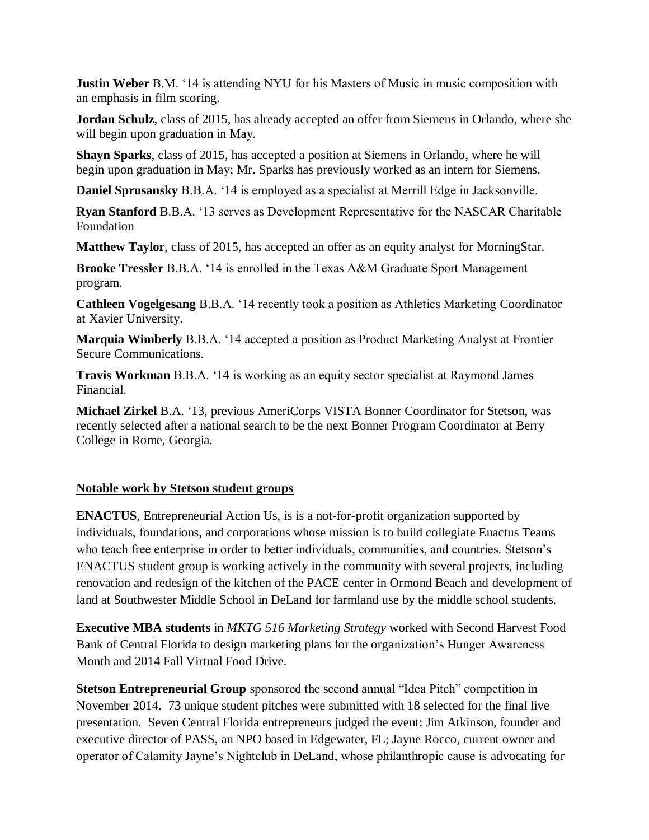**Justin Weber** B.M. '14 is attending NYU for his Masters of Music in music composition with an emphasis in film scoring.

**Jordan Schulz**, class of 2015, has already accepted an offer from Siemens in Orlando, where she will begin upon graduation in May.

**Shayn Sparks**, class of 2015, has accepted a position at Siemens in Orlando, where he will begin upon graduation in May; Mr. Sparks has previously worked as an intern for Siemens.

**Daniel Sprusansky** B.B.A. '14 is employed as a specialist at Merrill Edge in Jacksonville.

**Ryan Stanford** B.B.A. '13 serves as Development Representative for the NASCAR Charitable Foundation

**Matthew Taylor**, class of 2015, has accepted an offer as an equity analyst for MorningStar.

**Brooke Tressler** B.B.A. '14 is enrolled in the Texas A&M Graduate Sport Management program.

**Cathleen Vogelgesang** B.B.A. '14 recently took a position as Athletics Marketing Coordinator at Xavier University.

**Marquia Wimberly** B.B.A. '14 accepted a position as Product Marketing Analyst at Frontier Secure Communications.

**Travis Workman** B.B.A. '14 is working as an equity sector specialist at Raymond James Financial.

**Michael Zirkel** B.A. '13, previous AmeriCorps VISTA Bonner Coordinator for Stetson, was recently selected after a national search to be the next Bonner Program Coordinator at Berry College in Rome, Georgia.

## **Notable work by Stetson student groups**

**ENACTUS**, Entrepreneurial Action Us, is is a not-for-profit organization supported by individuals, foundations, and corporations whose mission is to build collegiate Enactus Teams who teach free enterprise in order to better individuals, communities, and countries. Stetson's ENACTUS student group is working actively in the community with several projects, including renovation and redesign of the kitchen of the PACE center in Ormond Beach and development of land at Southwester Middle School in DeLand for farmland use by the middle school students.

**Executive MBA students** in *MKTG 516 Marketing Strategy* worked with Second Harvest Food Bank of Central Florida to design marketing plans for the organization's Hunger Awareness Month and 2014 Fall Virtual Food Drive.

**Stetson Entrepreneurial Group** sponsored the second annual "Idea Pitch" competition in November 2014. 73 unique student pitches were submitted with 18 selected for the final live presentation. Seven Central Florida entrepreneurs judged the event: Jim Atkinson, founder and executive director of PASS, an NPO based in Edgewater, FL; Jayne Rocco, current owner and operator of Calamity Jayne's Nightclub in DeLand, whose philanthropic cause is advocating for